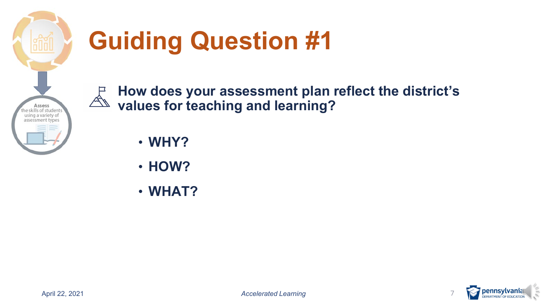

# **Guiding Question #1**

 **How does your assessment plan reflect the district's values for teaching and learning?** 

• **WHY?** 

- **HOW?**
- **WHAT?**

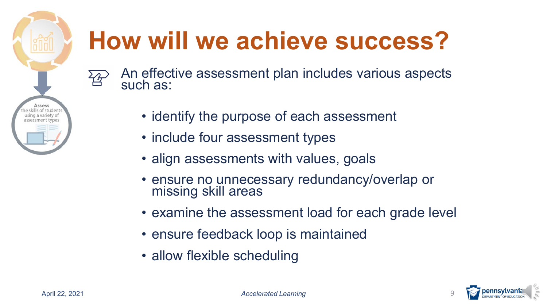

# **How will we achieve success?**

- An effective assessment plan includes various aspects such as:
	- identify the purpose of each assessment
	- include four assessment types
	- align assessments with values, goals
	- ensure no unnecessary redundancy/overlap or missing skill areas
	- examine the assessment load for each grade level
	- ensure feedback loop is maintained
	- allow flexible scheduling

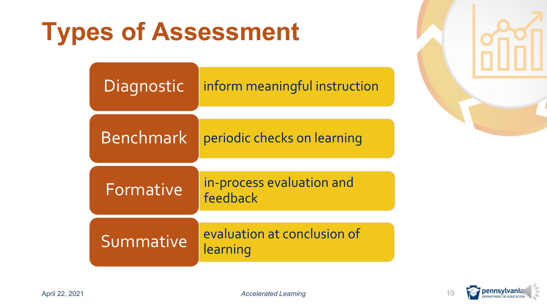## **Types of Assessment**

| Diagnostic       | inform meaningful instruction           |  |
|------------------|-----------------------------------------|--|
|                  |                                         |  |
| <b>Benchmark</b> | periodic checks on learning             |  |
|                  |                                         |  |
| Formative        | in-process evaluation and<br>feedback   |  |
|                  |                                         |  |
| Summative        | evaluation at conclusion of<br>learning |  |



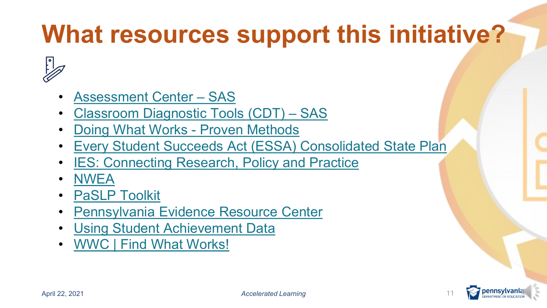## **What resources support this initiative?**



- [Assessment Center SAS](https://pdesas.org/assessment/assessment/assessmentcenter)
- [Classroom Diagnostic Tools \(CDT\) SAS](https://pdesas.org/Page/Viewer/ViewPage/9/)
- [Doing What Works -](https://www2.ed.gov/nclb/methods/whatworks/edpicks.jhtml) Proven Methods
- [Every Student Succeeds Act \(ESSA\) Consolidated State Plan](https://www.education.pa.gov/K-12/ESSA/Pages/default.aspx)
- **IES: Connecting Research, Policy and Practice**
- [NWEA](https://www.nwea.org/)
- **PaSLP Toolkit**
- [Pennsylvania Evidence Resource Center](https://www.evidenceforpa.org/)
- [Using Student Achievement Data](https://ies.ed.gov/ncee/wwc/Docs/PracticeGuide/dddm_pg_092909.pdf)
- [WWC | Find What Works!](https://ies.ed.gov/ncee/wwc/)

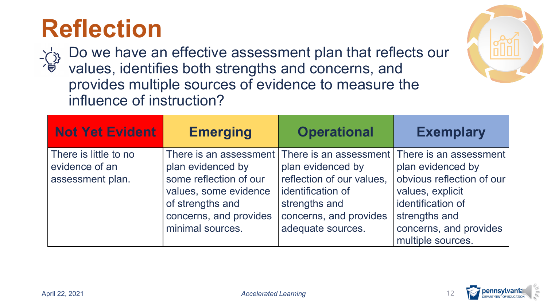#### **Reflection**

 Do we have an effective assessment plan that reflects our values, identifies both strengths and concerns, and provides multiple sources of evidence to measure the influence of instruction?

| <b>Not Yet Evident</b> | <b>Emerging</b>        | <b>Operational</b>                              | <b>Exemplary</b>          |
|------------------------|------------------------|-------------------------------------------------|---------------------------|
| There is little to no  |                        | There is an assessment   There is an assessment | There is an assessment    |
| evidence of an         | plan evidenced by      | plan evidenced by                               | plan evidenced by         |
| assessment plan.       | some reflection of our | reflection of our values,                       | obvious reflection of our |
|                        | values, some evidence  | identification of                               | values, explicit          |
|                        | of strengths and       | strengths and                                   | identification of         |
|                        | concerns, and provides | concerns, and provides                          | strengths and             |
|                        | minimal sources.       | adequate sources.                               | concerns, and provides    |
|                        |                        |                                                 | multiple sources.         |



**:lllll** 

**offering**